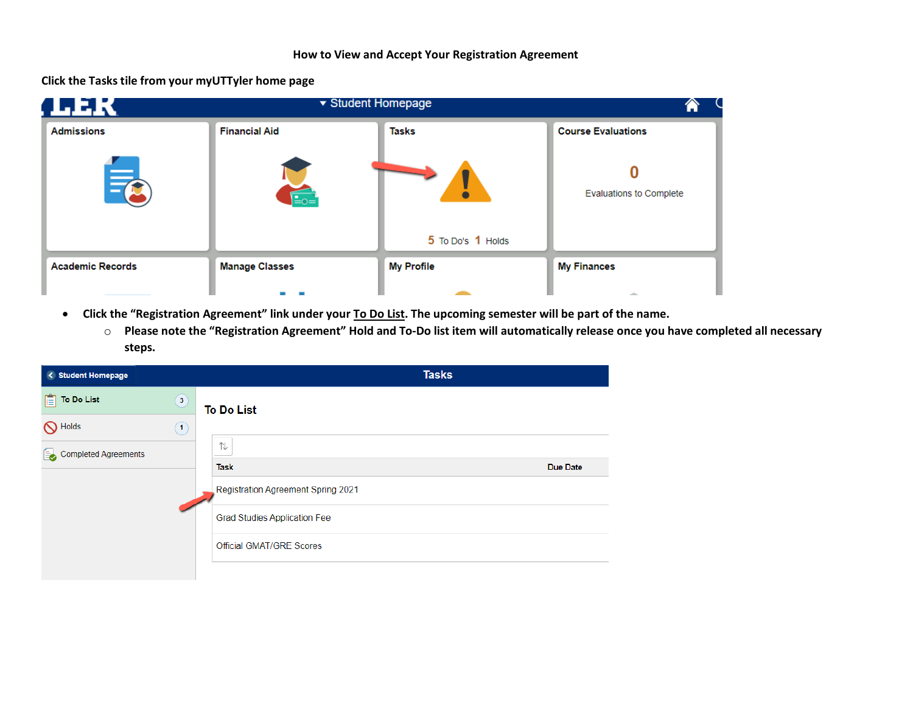## **Click the Tasks tile from your myUTTyler home page**

| FUER                    | ▼ Student Homepage                  |                   |                                                      |
|-------------------------|-------------------------------------|-------------------|------------------------------------------------------|
| <b>Admissions</b><br>İ, | <b>Financial Aid</b><br>$E_{\odot}$ | <b>Tasks</b>      | <b>Course Evaluations</b><br>Evaluations to Complete |
|                         |                                     | 5 To Do's 1 Holds |                                                      |
| <b>Academic Records</b> | <b>Manage Classes</b>               | <b>My Profile</b> | <b>My Finances</b>                                   |

- **Click the "Registration Agreement" link under your To Do List. The upcoming semester will be part of the name.**
	- o **Please note the "Registration Agreement" Hold and To-Do list item will automatically release once you have completed all necessary steps.**

| < Student Homepage         |                         | <b>Tasks</b>                              |          |
|----------------------------|-------------------------|-------------------------------------------|----------|
| 直<br><b>To Do List</b>     | $\overline{\mathbf{3}}$ | <b>To Do List</b>                         |          |
| N Holds                    | $\mathbf{1}$            |                                           |          |
| Completed Agreements<br>ĺ. |                         | 乀                                         |          |
|                            |                         | <b>Task</b>                               | Due Date |
|                            |                         | <b>Registration Agreement Spring 2021</b> |          |
|                            |                         | <b>Grad Studies Application Fee</b>       |          |
|                            |                         | <b>Official GMAT/GRE Scores</b>           |          |
|                            |                         |                                           |          |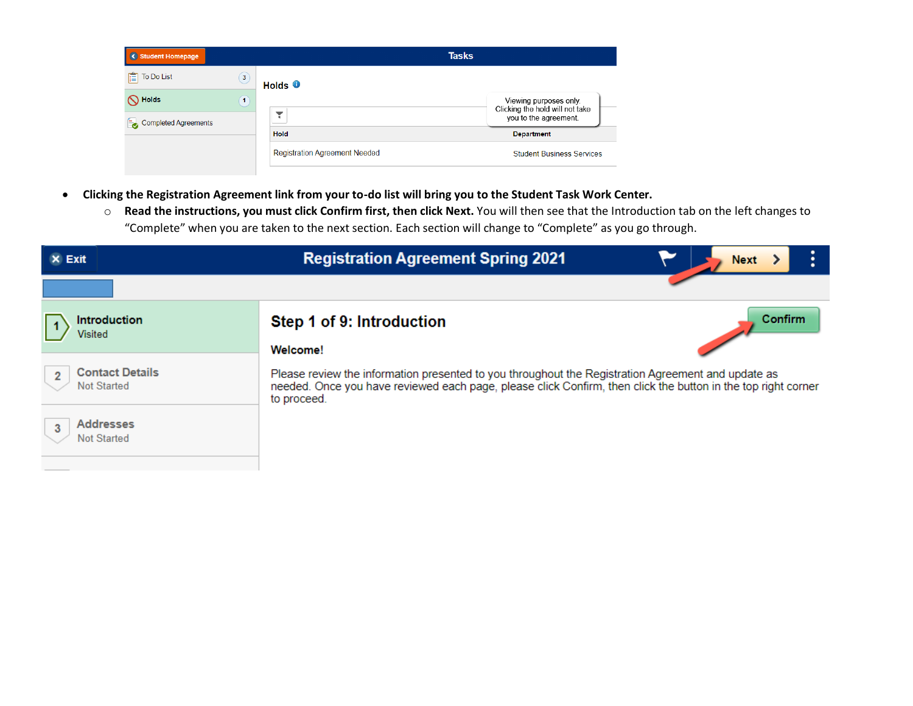| < Student Homepage                |              |                                      | <b>Tasks</b>                                              |
|-----------------------------------|--------------|--------------------------------------|-----------------------------------------------------------|
| To Do List<br>阊                   | $\mathbf{3}$ | Holds $\bullet$                      |                                                           |
| N Holds                           | $\mathbf{1}$ |                                      | Viewing purposes only.<br>Clicking the hold will not take |
| <b>Completed Agreements</b><br>E. |              | ▼                                    | you to the agreement.                                     |
|                                   |              | <b>Hold</b>                          | <b>Department</b>                                         |
|                                   |              | <b>Registration Agreement Needed</b> | <b>Student Business Services</b>                          |

- **Clicking the Registration Agreement link from your to-do list will bring you to the Student Task Work Center.**
	- o **Read the instructions, you must click Confirm first, then click Next.** You will then see that the Introduction tab on the left changes to "Complete" when you are taken to the next section. Each section will change to "Complete" as you go through.

| $\times$ Exit                                | <b>Registration Agreement Spring 2021</b>                                                                                                                                                                                          | <b>Next</b> |
|----------------------------------------------|------------------------------------------------------------------------------------------------------------------------------------------------------------------------------------------------------------------------------------|-------------|
|                                              |                                                                                                                                                                                                                                    |             |
| <b>Introduction</b><br>Visited               | Step 1 of 9: Introduction                                                                                                                                                                                                          | Confirm     |
|                                              | Welcome!                                                                                                                                                                                                                           |             |
| <b>Contact Details</b><br><b>Not Started</b> | Please review the information presented to you throughout the Registration Agreement and update as<br>needed. Once you have reviewed each page, please click Confirm, then click the button in the top right corner<br>to proceed. |             |
| <b>Addresses</b><br>3<br><b>Not Started</b>  |                                                                                                                                                                                                                                    |             |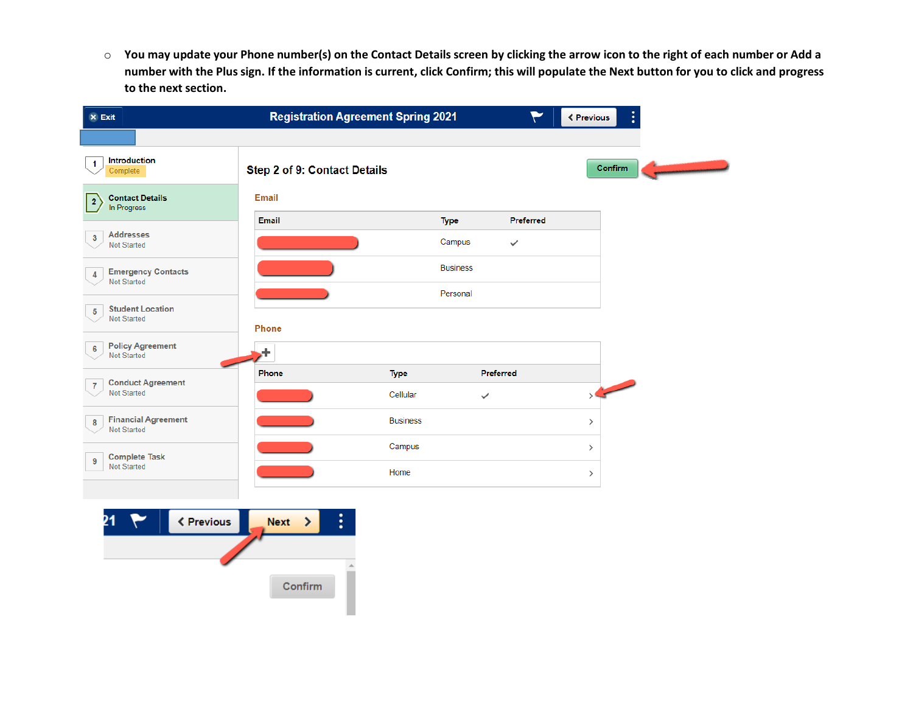o **You may update your Phone number(s) on the Contact Details screen by clicking the arrow icon to the right of each number or Add a number with the Plus sign. If the information is current, click Confirm; this will populate the Next button for you to click and progress to the next section.** 

| $\times$ Exit                                           |                              | <b>Registration Agreement Spring 2021</b> |                 | ۴            | ŧ<br><b>≮ Previous</b> |
|---------------------------------------------------------|------------------------------|-------------------------------------------|-----------------|--------------|------------------------|
|                                                         |                              |                                           |                 |              |                        |
| Introduction<br>$\blacktriangleleft$<br>Complete        | Step 2 of 9: Contact Details |                                           |                 |              | Confirm                |
| <b>Contact Details</b><br>$\overline{2}$<br>In Progress | Email                        |                                           |                 |              |                        |
|                                                         | Email                        |                                           | <b>Type</b>     | Preferred    |                        |
| <b>Addresses</b><br><b>Not Started</b>                  |                              |                                           | Campus          | $\checkmark$ |                        |
| <b>Emergency Contacts</b><br><b>Not Started</b>         |                              |                                           | <b>Business</b> |              |                        |
|                                                         |                              |                                           | Personal        |              |                        |
| <b>Student Location</b><br><b>Not Started</b>           | Phone                        |                                           |                 |              |                        |
| <b>Policy Agreement</b><br><b>Not Started</b>           |                              |                                           |                 |              |                        |
| <b>Conduct Agreement</b>                                | Phone                        | <b>Type</b>                               |                 | Preferred    |                        |
| <b>Not Started</b>                                      |                              | Cellular                                  | $\checkmark$    |              | $\rightarrow$          |
| <b>Financial Agreement</b><br><b>Not Started</b>        |                              | <b>Business</b>                           |                 |              | $\rightarrow$          |
| <b>Complete Task</b>                                    |                              | Campus                                    |                 |              | $\rightarrow$          |
| Not Started                                             |                              | Home                                      |                 |              | $\rightarrow$          |
|                                                         |                              |                                           |                 |              |                        |
| <b>≮ Previous</b>                                       | $Next$ >                     | ŧ                                         |                 |              |                        |
|                                                         |                              |                                           |                 |              |                        |
|                                                         |                              |                                           |                 |              |                        |
|                                                         |                              |                                           |                 |              |                        |
|                                                         | Confirm                      |                                           |                 |              |                        |
|                                                         |                              |                                           |                 |              |                        |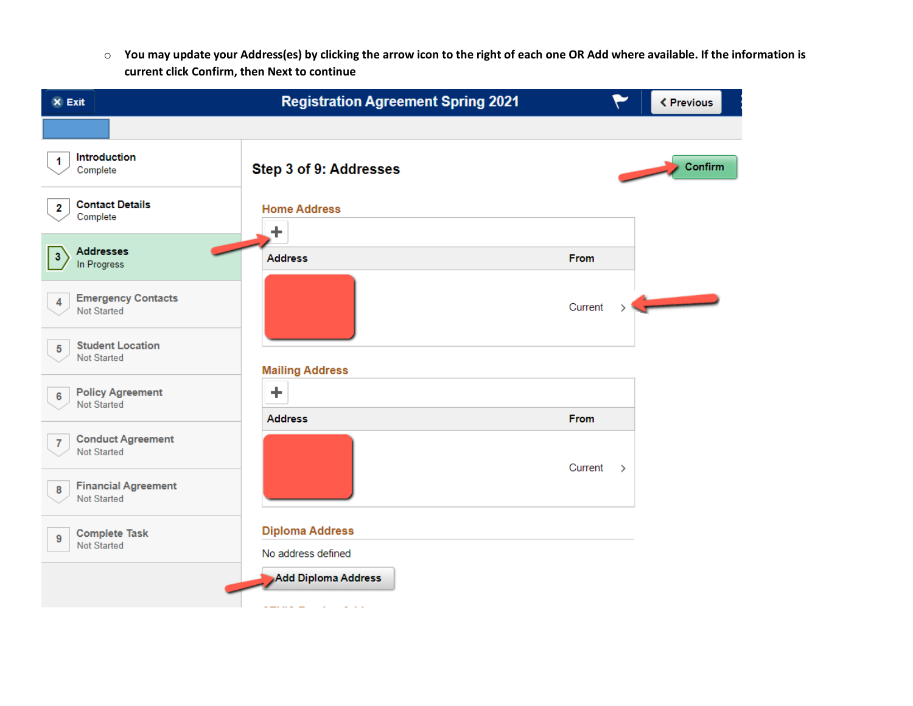o **You may update your Address(es) by clicking the arrow icon to the right of each one OR Add where available. If the information is current click Confirm, then Next to continue**

| $\times$ Exit                                                       | <b>Registration Agreement Spring 2021</b> |             |               | <b>&lt; Previous</b> |
|---------------------------------------------------------------------|-------------------------------------------|-------------|---------------|----------------------|
|                                                                     |                                           |             |               |                      |
| Introduction<br>1<br>Complete                                       | Step 3 of 9: Addresses                    |             |               | Confirm              |
| <b>Contact Details</b><br>$\mathbf{2}$<br>Complete                  | <b>Home Address</b><br>÷.                 |             |               |                      |
| <b>Addresses</b><br>$\vert 3 \vert$<br>In Progress                  | <b>Address</b>                            | <b>From</b> |               |                      |
| <b>Emergency Contacts</b><br>$\blacktriangle$<br><b>Not Started</b> |                                           | Current     |               |                      |
| <b>Student Location</b><br>$5\phantom{.0}$<br><b>Not Started</b>    | <b>Mailing Address</b>                    |             |               |                      |
| <b>Policy Agreement</b><br>6<br><b>Not Started</b>                  | ÷<br><b>Address</b>                       | From        |               |                      |
| <b>Conduct Agreement</b><br>$\overline{7}$<br><b>Not Started</b>    |                                           | Current     |               |                      |
| <b>Financial Agreement</b><br>8<br><b>Not Started</b>               |                                           |             | $\rightarrow$ |                      |
| <b>Complete Task</b><br>9                                           | <b>Diploma Address</b>                    |             |               |                      |
| <b>Not Started</b>                                                  | No address defined                        |             |               |                      |
|                                                                     | Add Diploma Address                       |             |               |                      |
|                                                                     |                                           |             |               |                      |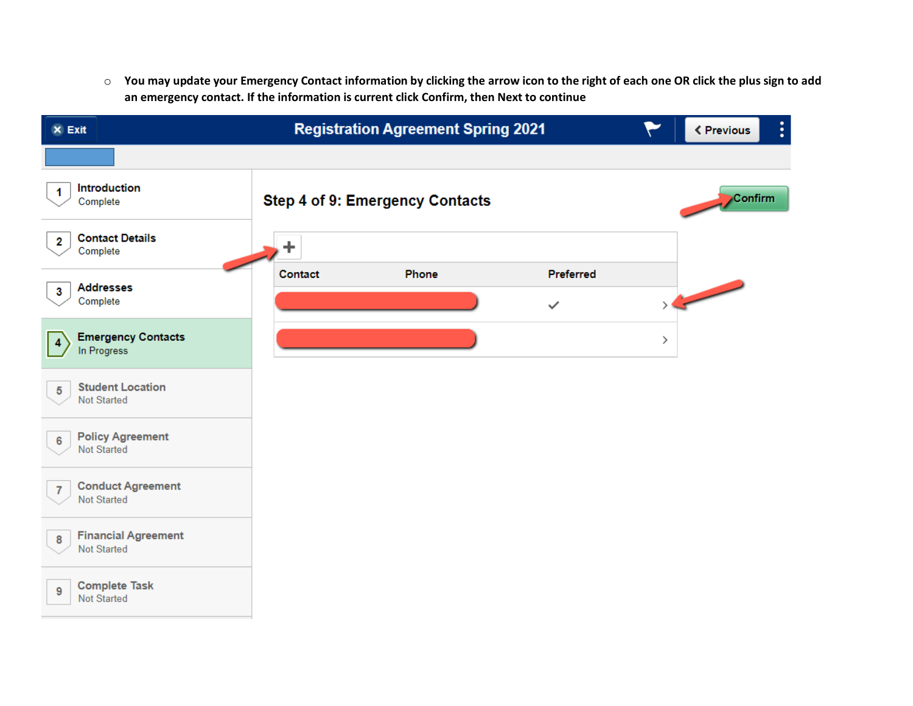o **You may update your Emergency Contact information by clicking the arrow icon to the right of each one OR click the plus sign to add an emergency contact. If the information is current click Confirm, then Next to continue**

| $\times$ Exit                                                    |         | <b>Registration Agreement Spring 2021</b> |              |   | ŧ<br><b>&lt; Previous</b> |
|------------------------------------------------------------------|---------|-------------------------------------------|--------------|---|---------------------------|
|                                                                  |         |                                           |              |   |                           |
| Introduction<br>1.<br>Complete                                   |         | Step 4 of 9: Emergency Contacts           |              |   | Confirm                   |
| <b>Contact Details</b><br>$\mathbf{2}$<br>Complete               | ÷.      |                                           |              |   |                           |
| <b>Addresses</b><br>$\mathbf{3}$                                 | Contact | Phone                                     | Preferred    |   |                           |
| Complete                                                         |         |                                           | $\checkmark$ |   |                           |
| <b>Emergency Contacts</b><br>$\overline{4}$<br>In Progress       |         |                                           |              | ≻ |                           |
| <b>Student Location</b><br>$5\phantom{.0}$<br><b>Not Started</b> |         |                                           |              |   |                           |
| <b>Policy Agreement</b><br>6<br><b>Not Started</b>               |         |                                           |              |   |                           |
| <b>Conduct Agreement</b><br>$\overline{7}$<br><b>Not Started</b> |         |                                           |              |   |                           |
| <b>Financial Agreement</b><br>8<br><b>Not Started</b>            |         |                                           |              |   |                           |
| <b>Complete Task</b><br>9<br><b>Not Started</b>                  |         |                                           |              |   |                           |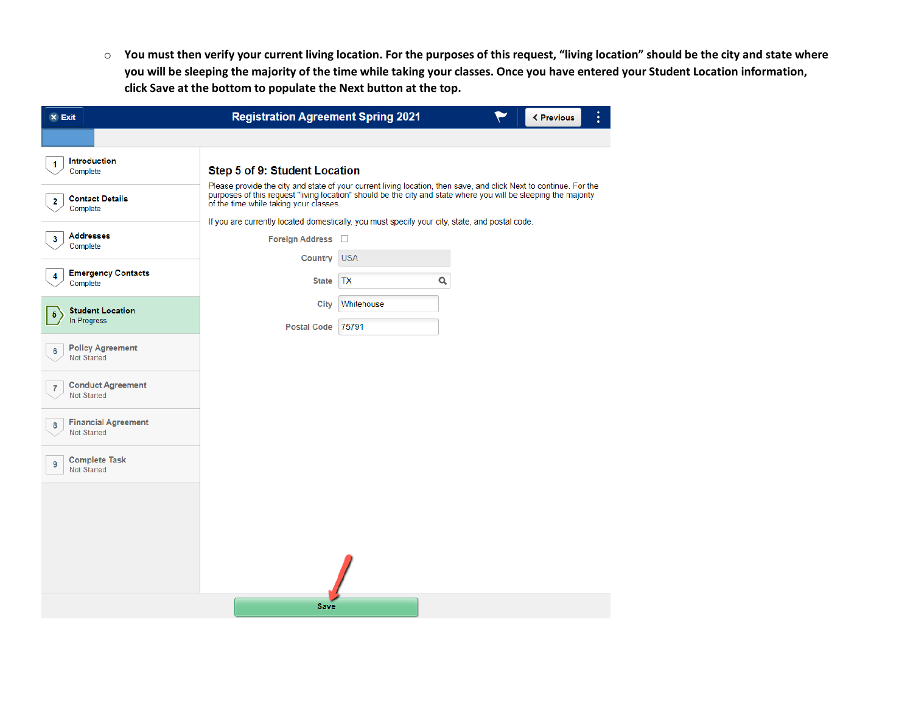o **You must then verify your current living location. For the purposes of this request, "living location" should be the city and state where you will be sleeping the majority of the time while taking your classes. Once you have entered your Student Location information, click Save at the bottom to populate the Next button at the top.**

| $x$ Exit                                                         | <b>Registration Agreement Spring 2021</b>                                                                                                                                                                                                                                      |                         |   | <b>&lt; Previous</b> | ŧ |
|------------------------------------------------------------------|--------------------------------------------------------------------------------------------------------------------------------------------------------------------------------------------------------------------------------------------------------------------------------|-------------------------|---|----------------------|---|
|                                                                  |                                                                                                                                                                                                                                                                                |                         |   |                      |   |
| <b>Introduction</b><br>1<br>Complete                             | Step 5 of 9: Student Location                                                                                                                                                                                                                                                  |                         |   |                      |   |
| <b>Contact Details</b><br>$\overline{2}$<br>Complete             | Please provide the city and state of your current living location, then save, and click Next to continue. For the<br>purposes of this request "living location" should be the city and state where you will be sleeping the majority<br>of the time while taking your classes. |                         |   |                      |   |
| <b>Addresses</b>                                                 | If you are currently located domestically, you must specify your city, state, and postal code.                                                                                                                                                                                 |                         |   |                      |   |
| 3<br>Complete                                                    | Foreign Address $\Box$                                                                                                                                                                                                                                                         |                         |   |                      |   |
| <b>Emergency Contacts</b><br>4<br>Complete                       | Country<br><b>State</b>                                                                                                                                                                                                                                                        | <b>USA</b><br><b>TX</b> | Q |                      |   |
|                                                                  | City                                                                                                                                                                                                                                                                           | Whitehouse              |   |                      |   |
| <b>Student Location</b><br>$\overline{5}$<br>In Progress         | <b>Postal Code</b>                                                                                                                                                                                                                                                             | 75791                   |   |                      |   |
| <b>Policy Agreement</b><br>6<br><b>Not Started</b>               |                                                                                                                                                                                                                                                                                |                         |   |                      |   |
| <b>Conduct Agreement</b><br>$\overline{7}$<br><b>Not Started</b> |                                                                                                                                                                                                                                                                                |                         |   |                      |   |
| <b>Financial Agreement</b><br>8<br><b>Not Started</b>            |                                                                                                                                                                                                                                                                                |                         |   |                      |   |
| <b>Complete Task</b><br>9<br><b>Not Started</b>                  |                                                                                                                                                                                                                                                                                |                         |   |                      |   |
|                                                                  |                                                                                                                                                                                                                                                                                |                         |   |                      |   |
|                                                                  |                                                                                                                                                                                                                                                                                |                         |   |                      |   |
|                                                                  |                                                                                                                                                                                                                                                                                |                         |   |                      |   |
|                                                                  |                                                                                                                                                                                                                                                                                |                         |   |                      |   |
|                                                                  | <b>Save</b>                                                                                                                                                                                                                                                                    |                         |   |                      |   |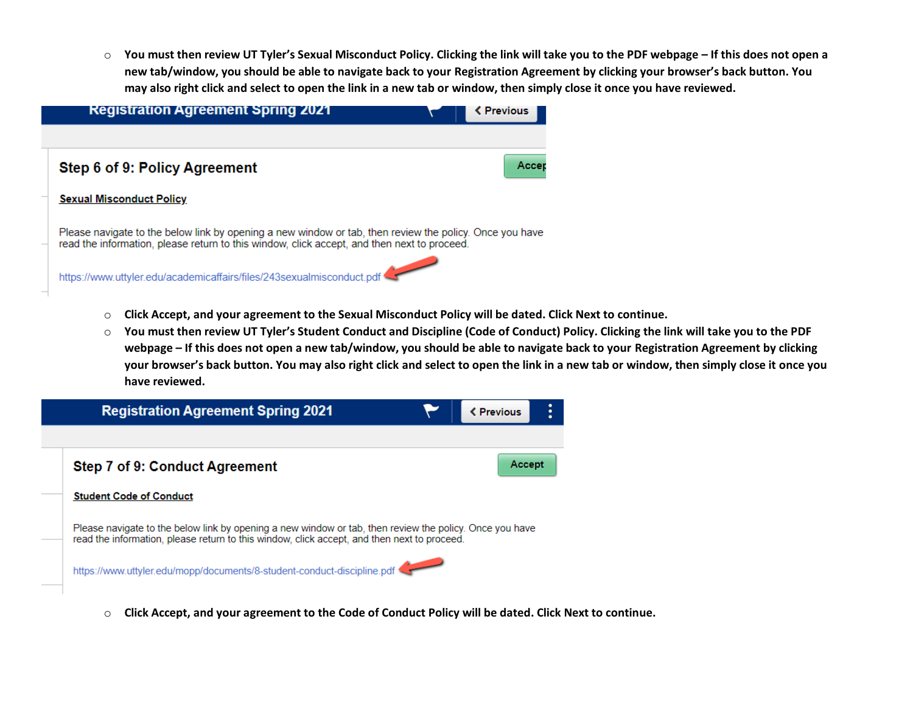o **You must then review UT Tyler's Sexual Misconduct Policy. Clicking the link will take you to the PDF webpage – If this does not open a new tab/window, you should be able to navigate back to your Registration Agreement by clicking your browser's back button. You may also right click and select to open the link in a new tab or window, then simply close it once you have reviewed.**



- o **Click Accept, and your agreement to the Sexual Misconduct Policy will be dated. Click Next to continue.**
- o **You must then review UT Tyler's Student Conduct and Discipline (Code of Conduct) Policy. Clicking the link will take you to the PDF webpage – If this does not open a new tab/window, you should be able to navigate back to your Registration Agreement by clicking your browser's back button. You may also right click and select to open the link in a new tab or window, then simply close it once you have reviewed.**



o **Click Accept, and your agreement to the Code of Conduct Policy will be dated. Click Next to continue.**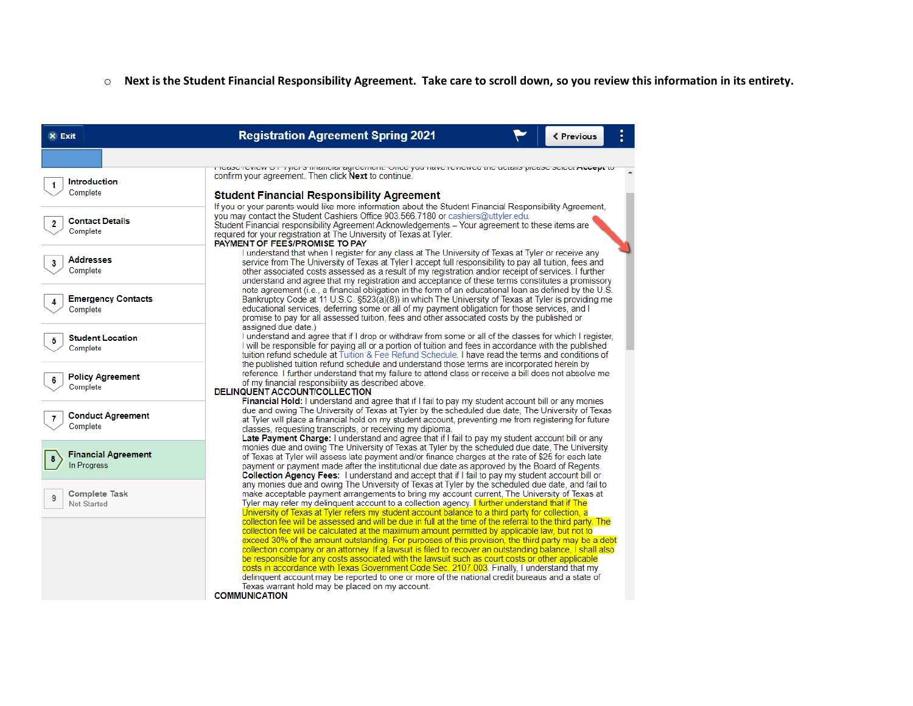## o **Next is the Student Financial Responsibility Agreement. Take care to scroll down, so you review this information in its entirety.**

| $x$ Exit                                        | <b>Registration Agreement Spring 2021</b><br><b>くPrevious</b>                                                                                                                                                                                                                                                                                                                                                                     |  |  |  |  |
|-------------------------------------------------|-----------------------------------------------------------------------------------------------------------------------------------------------------------------------------------------------------------------------------------------------------------------------------------------------------------------------------------------------------------------------------------------------------------------------------------|--|--|--|--|
|                                                 |                                                                                                                                                                                                                                                                                                                                                                                                                                   |  |  |  |  |
| <b>Introduction</b>                             | <u>וטמאט דטיוטיזי ט ד דיןוטרא וווימוזטומרמקונטנדווטוזו. סווטט ץטע וומיזט דטיוטיזיטע גווט עטמאט אטוטט. <b>העספן</b>רגע</u><br>confirm your agreement. Then click <b>Next</b> to continue.                                                                                                                                                                                                                                          |  |  |  |  |
| Complete                                        | <b>Student Financial Responsibility Agreement</b>                                                                                                                                                                                                                                                                                                                                                                                 |  |  |  |  |
| <b>Contact Details</b><br>2<br>Complete         | If you or your parents would like more information about the Student Financial Responsibility Agreement.<br>you may contact the Student Cashiers Office 903.566.7180 or cashiers@uttyler.edu.<br>Student Financial responsibility Agreement Acknowledgements - Your agreement to these items are<br>required for your registration at The University of Texas at Tyler.<br>PAYMENT OF FEES/PROMISE TO PAY                         |  |  |  |  |
| <b>Addresses</b><br>3<br>Complete               | I understand that when I register for any class at The University of Texas at Tyler or receive any<br>service from The University of Texas at Tyler I accept full responsibility to pay all tuition, fees and<br>other associated costs assessed as a result of my registration and/or receipt of services. I further<br>understand and agree that my registration and acceptance of these terms constitutes a promissory         |  |  |  |  |
| <b>Emergency Contacts</b><br>Complete           | note agreement (i.e., a financial obligation in the form of an educational loan as defined by the U.S.<br>Bankruptcy Code at 11 U.S.C. §523(a)(8)) in which The University of Texas at Tyler is providing me<br>educational services, deferring some or all of my payment obligation for those services, and I<br>promise to pay for all assessed tuition, fees and other associated costs by the published or                    |  |  |  |  |
| <b>Student Location</b><br>5<br>Complete        | assigned due date.)<br>I understand and agree that if I drop or withdraw from some or all of the classes for which I register.<br>I will be responsible for paying all or a portion of tuition and fees in accordance with the published<br>tuition refund schedule at Tuition & Fee Refund Schedule. I have read the terms and conditions of                                                                                     |  |  |  |  |
| <b>Policy Agreement</b><br>6<br>Complete        | the published tuition refund schedule and understand those terms are incorporated herein by<br>reference. I further understand that my failure to attend class or receive a bill does not absolve me<br>of my financial responsibility as described above.<br>DELINQUENT ACCOUNT/COLLECTION<br>Financial Hold: I understand and agree that if I fail to pay my student account bill or any monies                                 |  |  |  |  |
| <b>Conduct Agreement</b><br>7<br>Complete       | due and owing The University of Texas at Tyler by the scheduled due date, The University of Texas<br>at Tyler will place a financial hold on my student account, preventing me from registering for future<br>classes, requesting transcripts, or receiving my diploma.<br>Late Payment Charge: I understand and agree that if I fail to pay my student account bill or any                                                       |  |  |  |  |
| <b>Financial Agreement</b><br>In Progress       | monies due and owing The University of Texas at Tyler by the scheduled due date, The University<br>of Texas at Tyler will assess late payment and/or finance charges at the rate of \$25 for each late<br>payment or payment made after the institutional due date as approved by the Board of Regents.<br>Collection Agency Fees: I understand and accept that if I fail to pay my student account bill or                       |  |  |  |  |
| <b>Complete Task</b><br>9<br><b>Not Started</b> | any monies due and owing The University of Texas at Tyler by the scheduled due date, and fail to<br>make acceptable payment arrangements to bring my account current. The University of Texas at<br>Tyler may refer my delinguent account to a collection agency. I further understand that if The<br>University of Texas at Tyler refers my student account balance to a third party for collection, a                           |  |  |  |  |
|                                                 | collection fee will be assessed and will be due in full at the time of the referral to the third party. The<br>collection fee will be calculated at the maximum amount permitted by applicable law, but not to<br>exceed 30% of the amount outstanding. For purposes of this provision, the third party may be a debt<br>collection company or an attorney. If a lawsuit is filed to recover an outstanding balance, I shall also |  |  |  |  |
|                                                 | be responsible for any costs associated with the lawsuit such as court costs or other applicable<br>costs in accordance with Texas Government Code Sec. 2107.003. Finally, I understand that my<br>delinguent account may be reported to one or more of the national credit bureaus and a state of<br>Texas warrant hold may be placed on my account.                                                                             |  |  |  |  |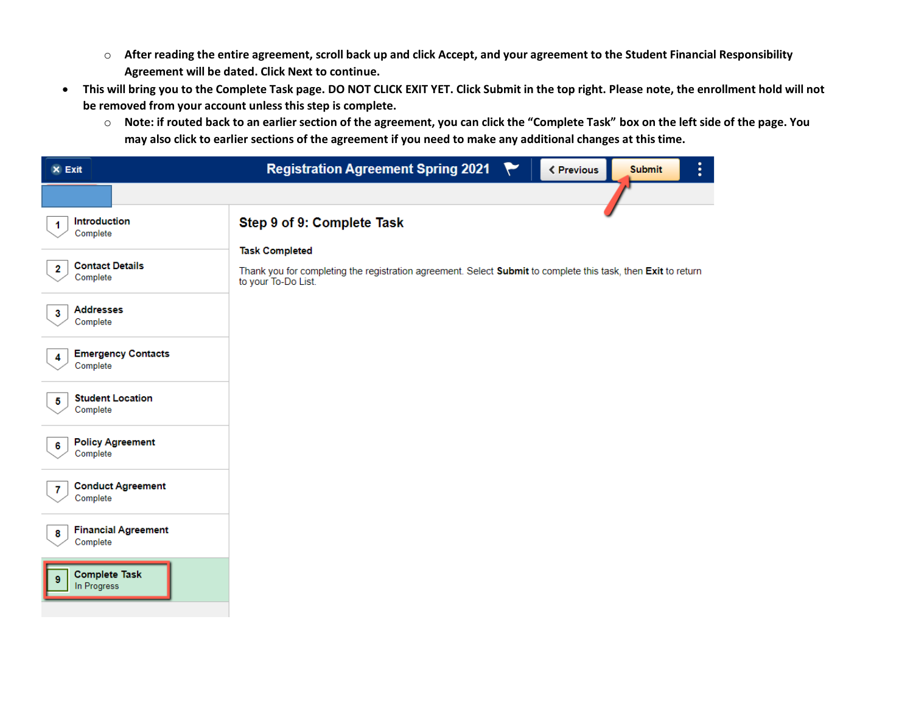- o **After reading the entire agreement, scroll back up and click Accept, and your agreement to the Student Financial Responsibility Agreement will be dated. Click Next to continue.**
- **This will bring you to the Complete Task page. DO NOT CLICK EXIT YET. Click Submit in the top right. Please note, the enrollment hold will not be removed from your account unless this step is complete.**
	- o **Note: if routed back to an earlier section of the agreement, you can click the "Complete Task" box on the left side of the page. You may also click to earlier sections of the agreement if you need to make any additional changes at this time.**

| $\times$ Exit                                         | ŧ<br><b>Registration Agreement Spring 2021</b><br><b>&lt; Previous</b><br><b>Submit</b>                                                                       |
|-------------------------------------------------------|---------------------------------------------------------------------------------------------------------------------------------------------------------------|
|                                                       |                                                                                                                                                               |
| Introduction<br>1<br>Complete                         | Step 9 of 9: Complete Task                                                                                                                                    |
| <b>Contact Details</b><br>$\mathbf{2}$<br>Complete    | <b>Task Completed</b><br>Thank you for completing the registration agreement. Select Submit to complete this task, then Exit to return<br>to your To-Do List. |
| <b>Addresses</b><br>3<br>Complete                     |                                                                                                                                                               |
| <b>Emergency Contacts</b><br>4<br>Complete            |                                                                                                                                                               |
| <b>Student Location</b><br>5<br>Complete              |                                                                                                                                                               |
| <b>Policy Agreement</b><br>6<br>Complete              |                                                                                                                                                               |
| <b>Conduct Agreement</b><br>$\mathbf{7}$<br>Complete  |                                                                                                                                                               |
| <b>Financial Agreement</b><br>8<br>Complete           |                                                                                                                                                               |
| <b>Complete Task</b><br>$\overline{9}$<br>In Progress |                                                                                                                                                               |